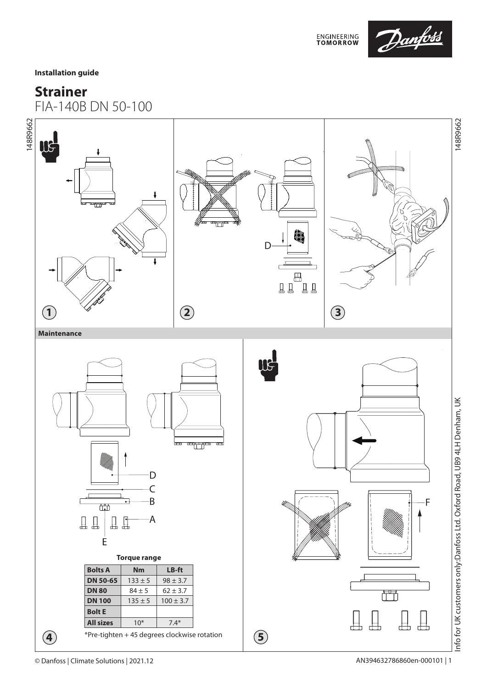

**Installation guide**

# **Strainer**

FIA-140B DN 50-100